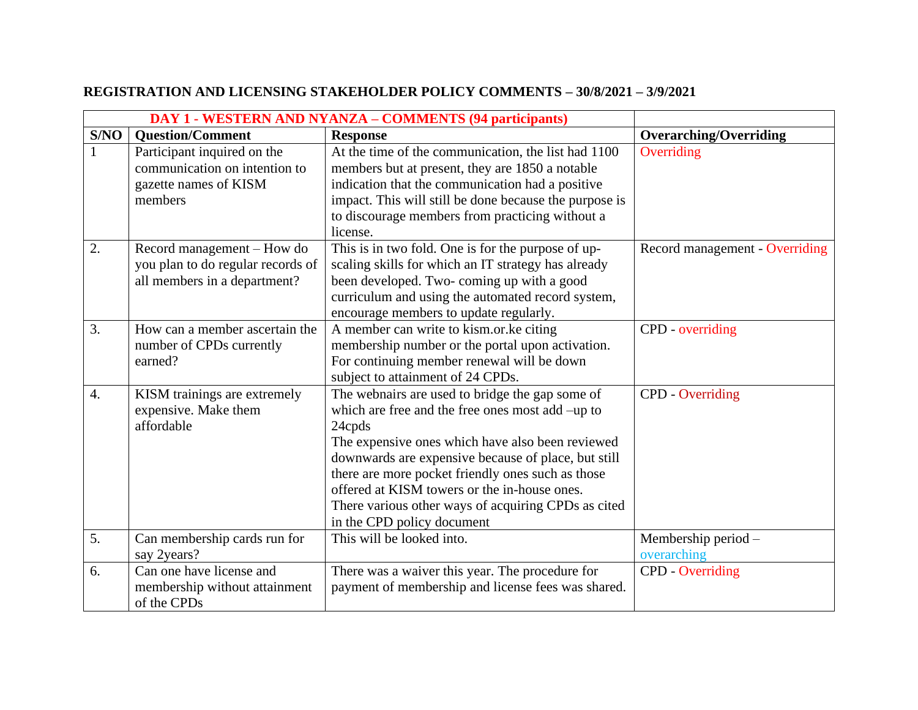| <b>DAY 1 - WESTERN AND NYANZA – COMMENTS (94 participants)</b> |                                                                                                  |                                                                                                                                                                                                                                                                                                                                                                                                                    |                                    |
|----------------------------------------------------------------|--------------------------------------------------------------------------------------------------|--------------------------------------------------------------------------------------------------------------------------------------------------------------------------------------------------------------------------------------------------------------------------------------------------------------------------------------------------------------------------------------------------------------------|------------------------------------|
| S/NO                                                           | <b>Ouestion/Comment</b>                                                                          | <b>Response</b>                                                                                                                                                                                                                                                                                                                                                                                                    | <b>Overarching/Overriding</b>      |
|                                                                | Participant inquired on the<br>communication on intention to<br>gazette names of KISM<br>members | At the time of the communication, the list had 1100<br>members but at present, they are 1850 a notable<br>indication that the communication had a positive<br>impact. This will still be done because the purpose is<br>to discourage members from practicing without a<br>license.                                                                                                                                | Overriding                         |
| 2.                                                             | Record management – How do<br>you plan to do regular records of<br>all members in a department?  | This is in two fold. One is for the purpose of up-<br>scaling skills for which an IT strategy has already<br>been developed. Two-coming up with a good<br>curriculum and using the automated record system,<br>encourage members to update regularly.                                                                                                                                                              | Record management - Overriding     |
| 3.                                                             | How can a member ascertain the<br>number of CPDs currently<br>earned?                            | A member can write to kism.or.ke citing<br>membership number or the portal upon activation.<br>For continuing member renewal will be down<br>subject to attainment of 24 CPDs.                                                                                                                                                                                                                                     | CPD - overriding                   |
| $\overline{4}$ .                                               | KISM trainings are extremely<br>expensive. Make them<br>affordable                               | The webnairs are used to bridge the gap some of<br>which are free and the free ones most add -up to<br>24cpds<br>The expensive ones which have also been reviewed<br>downwards are expensive because of place, but still<br>there are more pocket friendly ones such as those<br>offered at KISM towers or the in-house ones.<br>There various other ways of acquiring CPDs as cited<br>in the CPD policy document | <b>CPD</b> - Overriding            |
| 5.                                                             | Can membership cards run for<br>say 2years?                                                      | This will be looked into.                                                                                                                                                                                                                                                                                                                                                                                          | Membership period -<br>overarching |
| 6.                                                             | Can one have license and<br>membership without attainment<br>of the CPDs                         | There was a waiver this year. The procedure for<br>payment of membership and license fees was shared.                                                                                                                                                                                                                                                                                                              | <b>CPD</b> - Overriding            |

## **REGISTRATION AND LICENSING STAKEHOLDER POLICY COMMENTS – 30/8/2021 – 3/9/2021**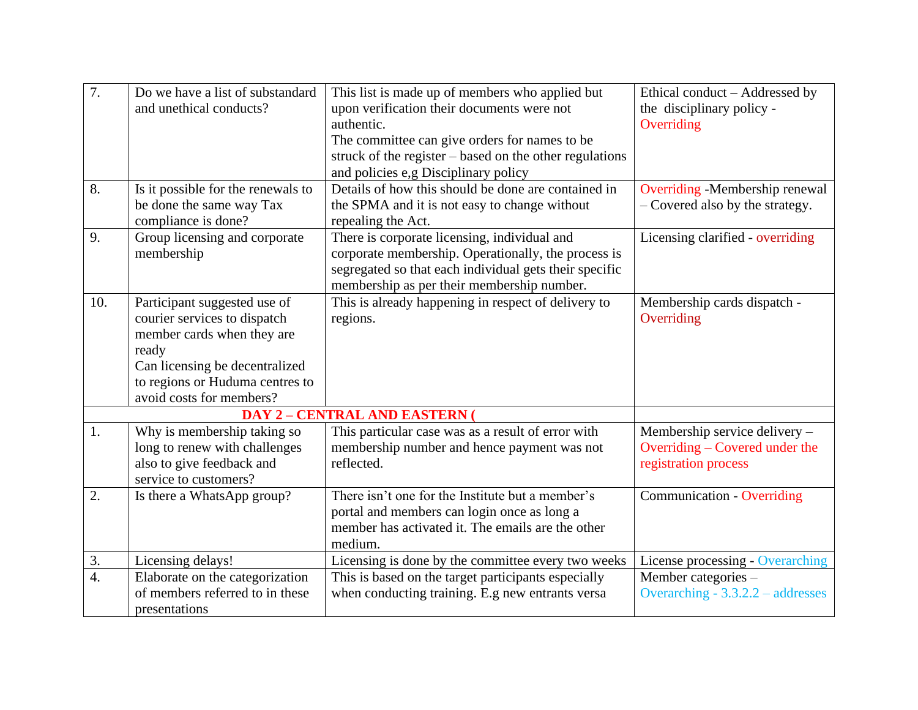| $\overline{7}$ . | Do we have a list of substandard   | This list is made up of members who applied but         | Ethical conduct – Addressed by      |
|------------------|------------------------------------|---------------------------------------------------------|-------------------------------------|
|                  | and unethical conducts?            | upon verification their documents were not              | the disciplinary policy -           |
|                  |                                    | authentic.                                              | Overriding                          |
|                  |                                    | The committee can give orders for names to be           |                                     |
|                  |                                    | struck of the register – based on the other regulations |                                     |
|                  |                                    | and policies e,g Disciplinary policy                    |                                     |
| 8.               | Is it possible for the renewals to | Details of how this should be done are contained in     | Overriding -Membership renewal      |
|                  | be done the same way Tax           | the SPMA and it is not easy to change without           | - Covered also by the strategy.     |
|                  | compliance is done?                | repealing the Act.                                      |                                     |
| 9.               | Group licensing and corporate      | There is corporate licensing, individual and            | Licensing clarified - overriding    |
|                  | membership                         | corporate membership. Operationally, the process is     |                                     |
|                  |                                    | segregated so that each individual gets their specific  |                                     |
|                  |                                    | membership as per their membership number.              |                                     |
| 10.              | Participant suggested use of       | This is already happening in respect of delivery to     | Membership cards dispatch -         |
|                  | courier services to dispatch       | regions.                                                | Overriding                          |
|                  | member cards when they are         |                                                         |                                     |
|                  | ready                              |                                                         |                                     |
|                  | Can licensing be decentralized     |                                                         |                                     |
|                  | to regions or Huduma centres to    |                                                         |                                     |
|                  | avoid costs for members?           |                                                         |                                     |
|                  |                                    | <b>DAY 2 - CENTRAL AND EASTERN (</b>                    |                                     |
| 1.               | Why is membership taking so        | This particular case was as a result of error with      | Membership service delivery -       |
|                  | long to renew with challenges      | membership number and hence payment was not             | Overriding – Covered under the      |
|                  | also to give feedback and          | reflected.                                              | registration process                |
|                  | service to customers?              |                                                         |                                     |
| 2.               | Is there a WhatsApp group?         | There isn't one for the Institute but a member's        | <b>Communication - Overriding</b>   |
|                  |                                    | portal and members can login once as long a             |                                     |
|                  |                                    | member has activated it. The emails are the other       |                                     |
|                  |                                    | medium.                                                 |                                     |
| 3.               | Licensing delays!                  | Licensing is done by the committee every two weeks      | License processing - Overarching    |
| $\overline{4}$ . | Elaborate on the categorization    | This is based on the target participants especially     | Member categories -                 |
|                  | of members referred to in these    | when conducting training. E.g new entrants versa        | Overarching - $3.3.2.2$ - addresses |
|                  | presentations                      |                                                         |                                     |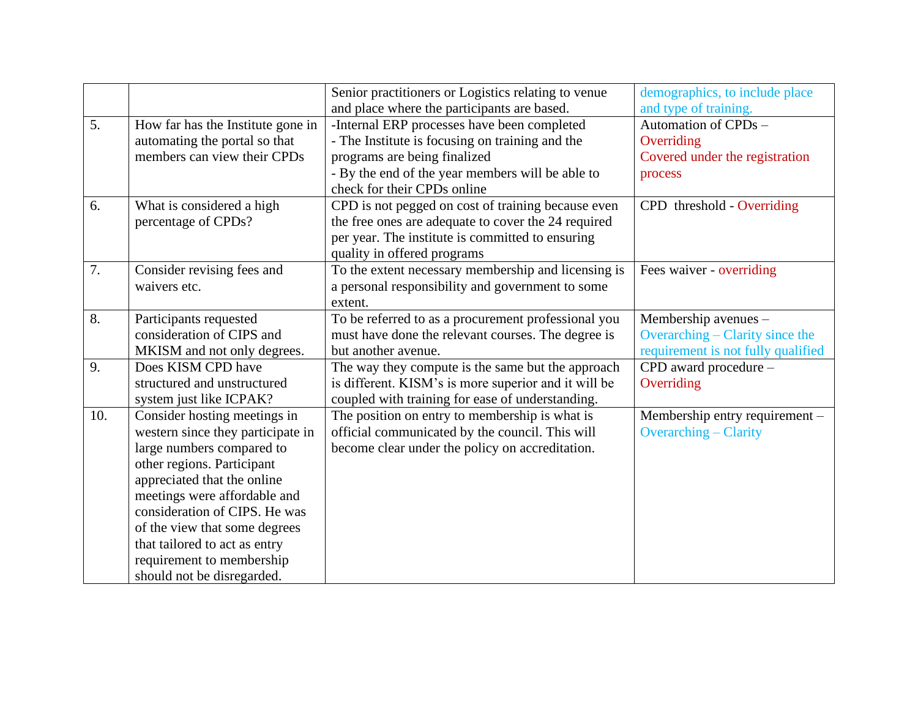|     |                                   | Senior practitioners or Logistics relating to venue  | demographics, to include place     |
|-----|-----------------------------------|------------------------------------------------------|------------------------------------|
|     |                                   | and place where the participants are based.          | and type of training.              |
| 5.  | How far has the Institute gone in | -Internal ERP processes have been completed          | Automation of CPDs -               |
|     | automating the portal so that     | - The Institute is focusing on training and the      | Overriding                         |
|     | members can view their CPDs       | programs are being finalized                         | Covered under the registration     |
|     |                                   | - By the end of the year members will be able to     | process                            |
|     |                                   | check for their CPDs online                          |                                    |
| 6.  | What is considered a high         | CPD is not pegged on cost of training because even   | CPD threshold - Overriding         |
|     | percentage of CPDs?               | the free ones are adequate to cover the 24 required  |                                    |
|     |                                   | per year. The institute is committed to ensuring     |                                    |
|     |                                   | quality in offered programs                          |                                    |
| 7.  | Consider revising fees and        | To the extent necessary membership and licensing is  | Fees waiver - overriding           |
|     | waivers etc.                      | a personal responsibility and government to some     |                                    |
|     |                                   | extent.                                              |                                    |
| 8.  | Participants requested            | To be referred to as a procurement professional you  | Membership avenues -               |
|     | consideration of CIPS and         | must have done the relevant courses. The degree is   | Overarching – Clarity since the    |
|     | MKISM and not only degrees.       | but another avenue.                                  | requirement is not fully qualified |
| 9.  | Does KISM CPD have                | The way they compute is the same but the approach    | CPD award procedure -              |
|     | structured and unstructured       | is different. KISM's is more superior and it will be | Overriding                         |
|     | system just like ICPAK?           | coupled with training for ease of understanding.     |                                    |
| 10. | Consider hosting meetings in      | The position on entry to membership is what is       | Membership entry requirement -     |
|     | western since they participate in | official communicated by the council. This will      | <b>Overarching – Clarity</b>       |
|     | large numbers compared to         | become clear under the policy on accreditation.      |                                    |
|     | other regions. Participant        |                                                      |                                    |
|     | appreciated that the online       |                                                      |                                    |
|     | meetings were affordable and      |                                                      |                                    |
|     | consideration of CIPS. He was     |                                                      |                                    |
|     | of the view that some degrees     |                                                      |                                    |
|     | that tailored to act as entry     |                                                      |                                    |
|     | requirement to membership         |                                                      |                                    |
|     | should not be disregarded.        |                                                      |                                    |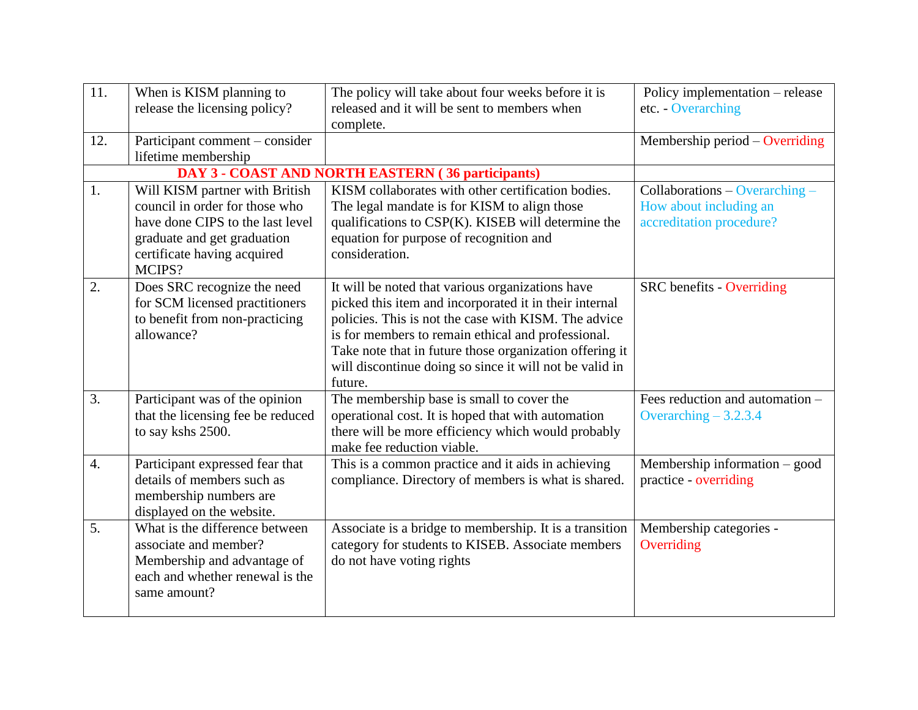| 11.              | When is KISM planning to          | The policy will take about four weeks before it is       | Policy implementation – release  |
|------------------|-----------------------------------|----------------------------------------------------------|----------------------------------|
|                  | release the licensing policy?     | released and it will be sent to members when             | etc. - Overarching               |
|                  |                                   | complete.                                                |                                  |
| 12.              | Participant comment – consider    |                                                          | Membership period $-$ Overriding |
|                  | lifetime membership               |                                                          |                                  |
|                  |                                   | <b>DAY 3 - COAST AND NORTH EASTERN (36 participants)</b> |                                  |
| 1.               | Will KISM partner with British    | KISM collaborates with other certification bodies.       | Collaborations - Overarching -   |
|                  | council in order for those who    | The legal mandate is for KISM to align those             | How about including an           |
|                  | have done CIPS to the last level  | qualifications to CSP(K). KISEB will determine the       | accreditation procedure?         |
|                  | graduate and get graduation       | equation for purpose of recognition and                  |                                  |
|                  | certificate having acquired       | consideration.                                           |                                  |
|                  | MCIPS?                            |                                                          |                                  |
| 2.               | Does SRC recognize the need       | It will be noted that various organizations have         | <b>SRC</b> benefits - Overriding |
|                  | for SCM licensed practitioners    | picked this item and incorporated it in their internal   |                                  |
|                  | to benefit from non-practicing    | policies. This is not the case with KISM. The advice     |                                  |
|                  | allowance?                        | is for members to remain ethical and professional.       |                                  |
|                  |                                   | Take note that in future those organization offering it  |                                  |
|                  |                                   | will discontinue doing so since it will not be valid in  |                                  |
|                  |                                   | future.                                                  |                                  |
| 3.               | Participant was of the opinion    | The membership base is small to cover the                | Fees reduction and automation -  |
|                  | that the licensing fee be reduced | operational cost. It is hoped that with automation       | Overarching $-3.2.3.4$           |
|                  | to say kshs 2500.                 | there will be more efficiency which would probably       |                                  |
|                  |                                   | make fee reduction viable.                               |                                  |
| $\overline{4}$ . | Participant expressed fear that   | This is a common practice and it aids in achieving       | Membership information - good    |
|                  | details of members such as        | compliance. Directory of members is what is shared.      | practice - overriding            |
|                  | membership numbers are            |                                                          |                                  |
|                  | displayed on the website.         |                                                          |                                  |
| 5.               | What is the difference between    | Associate is a bridge to membership. It is a transition  | Membership categories -          |
|                  | associate and member?             | category for students to KISEB. Associate members        | Overriding                       |
|                  | Membership and advantage of       | do not have voting rights                                |                                  |
|                  | each and whether renewal is the   |                                                          |                                  |
|                  | same amount?                      |                                                          |                                  |
|                  |                                   |                                                          |                                  |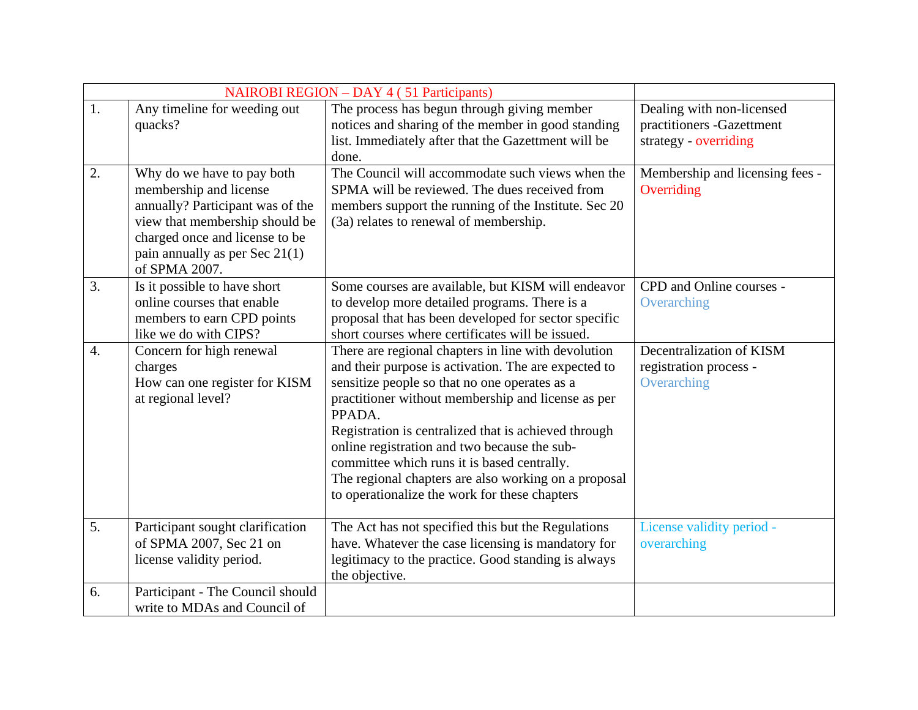| <b>NAIROBI REGION - DAY 4 (51 Participants)</b> |                                                                                                                                                                                                                   |                                                                                                                                                                                                                                                                                                                                                                                                                                                                                              |                                                                                 |
|-------------------------------------------------|-------------------------------------------------------------------------------------------------------------------------------------------------------------------------------------------------------------------|----------------------------------------------------------------------------------------------------------------------------------------------------------------------------------------------------------------------------------------------------------------------------------------------------------------------------------------------------------------------------------------------------------------------------------------------------------------------------------------------|---------------------------------------------------------------------------------|
| 1.                                              | Any timeline for weeding out<br>quacks?                                                                                                                                                                           | The process has begun through giving member<br>notices and sharing of the member in good standing<br>list. Immediately after that the Gazettment will be<br>done.                                                                                                                                                                                                                                                                                                                            | Dealing with non-licensed<br>practitioners -Gazettment<br>strategy - overriding |
| 2.                                              | Why do we have to pay both<br>membership and license<br>annually? Participant was of the<br>view that membership should be<br>charged once and license to be<br>pain annually as per Sec $21(1)$<br>of SPMA 2007. | The Council will accommodate such views when the<br>SPMA will be reviewed. The dues received from<br>members support the running of the Institute. Sec 20<br>(3a) relates to renewal of membership.                                                                                                                                                                                                                                                                                          | Membership and licensing fees -<br>Overriding                                   |
| 3.                                              | Is it possible to have short<br>online courses that enable<br>members to earn CPD points<br>like we do with CIPS?                                                                                                 | Some courses are available, but KISM will endeavor<br>to develop more detailed programs. There is a<br>proposal that has been developed for sector specific<br>short courses where certificates will be issued.                                                                                                                                                                                                                                                                              | CPD and Online courses -<br>Overarching                                         |
| $\overline{4}$ .                                | Concern for high renewal<br>charges<br>How can one register for KISM<br>at regional level?                                                                                                                        | There are regional chapters in line with devolution<br>and their purpose is activation. The are expected to<br>sensitize people so that no one operates as a<br>practitioner without membership and license as per<br>PPADA.<br>Registration is centralized that is achieved through<br>online registration and two because the sub-<br>committee which runs it is based centrally.<br>The regional chapters are also working on a proposal<br>to operationalize the work for these chapters | Decentralization of KISM<br>registration process -<br>Overarching               |
| 5.                                              | Participant sought clarification<br>of SPMA 2007, Sec 21 on<br>license validity period.                                                                                                                           | The Act has not specified this but the Regulations<br>have. Whatever the case licensing is mandatory for<br>legitimacy to the practice. Good standing is always<br>the objective.                                                                                                                                                                                                                                                                                                            | License validity period -<br>overarching                                        |
| 6.                                              | Participant - The Council should<br>write to MDAs and Council of                                                                                                                                                  |                                                                                                                                                                                                                                                                                                                                                                                                                                                                                              |                                                                                 |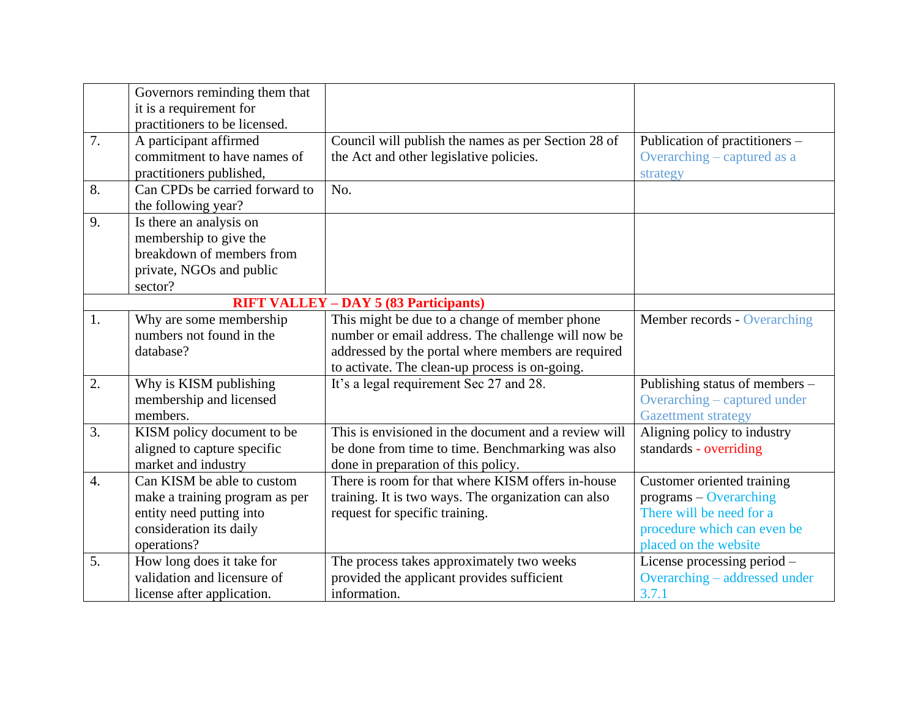|                  | Governors reminding them that<br>it is a requirement for |                                                      |                                |
|------------------|----------------------------------------------------------|------------------------------------------------------|--------------------------------|
|                  | practitioners to be licensed.                            |                                                      |                                |
| 7.               | A participant affirmed                                   | Council will publish the names as per Section 28 of  | Publication of practitioners - |
|                  | commitment to have names of                              | the Act and other legislative policies.              | Overarching – captured as a    |
|                  | practitioners published,                                 |                                                      | strategy                       |
| 8.               | Can CPDs be carried forward to                           | N <sub>0</sub>                                       |                                |
|                  | the following year?                                      |                                                      |                                |
| 9.               | Is there an analysis on                                  |                                                      |                                |
|                  | membership to give the                                   |                                                      |                                |
|                  | breakdown of members from                                |                                                      |                                |
|                  | private, NGOs and public                                 |                                                      |                                |
|                  | sector?                                                  |                                                      |                                |
|                  |                                                          | <b>RIFT VALLEY – DAY 5 (83 Participants)</b>         |                                |
| 1.               | Why are some membership                                  | This might be due to a change of member phone        | Member records - Overarching   |
|                  | numbers not found in the                                 | number or email address. The challenge will now be   |                                |
|                  | database?                                                | addressed by the portal where members are required   |                                |
|                  |                                                          | to activate. The clean-up process is on-going.       |                                |
| 2.               | Why is KISM publishing                                   | It's a legal requirement Sec 27 and 28.              | Publishing status of members – |
|                  | membership and licensed                                  |                                                      | Overarching – captured under   |
|                  | members.                                                 |                                                      | <b>Gazettment strategy</b>     |
| 3.               | KISM policy document to be                               | This is envisioned in the document and a review will | Aligning policy to industry    |
|                  | aligned to capture specific                              | be done from time to time. Benchmarking was also     | standards - overriding         |
|                  | market and industry                                      | done in preparation of this policy.                  |                                |
| $\overline{4}$ . | Can KISM be able to custom                               | There is room for that where KISM offers in-house    | Customer oriented training     |
|                  | make a training program as per                           | training. It is two ways. The organization can also  | programs - Overarching         |
|                  | entity need putting into                                 | request for specific training.                       | There will be need for a       |
|                  | consideration its daily                                  |                                                      | procedure which can even be    |
|                  | operations?                                              |                                                      | placed on the website          |
| 5.               | How long does it take for                                | The process takes approximately two weeks            | License processing period -    |
|                  | validation and licensure of                              | provided the applicant provides sufficient           | Overarching – addressed under  |
|                  | license after application.                               | information.                                         | 3.7.1                          |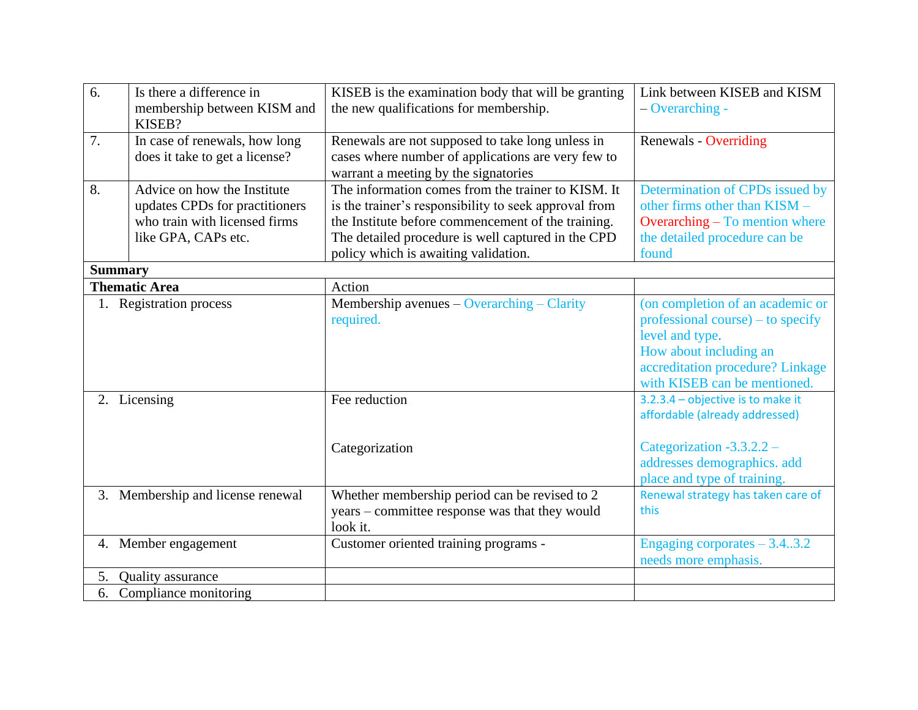| 6.             | Is there a difference in<br>membership between KISM and<br>KISEB?                                                     | KISEB is the examination body that will be granting<br>the new qualifications for membership.                                                                                                                                                                   | Link between KISEB and KISM<br>$-$ Overarching -                                                                                                                                       |
|----------------|-----------------------------------------------------------------------------------------------------------------------|-----------------------------------------------------------------------------------------------------------------------------------------------------------------------------------------------------------------------------------------------------------------|----------------------------------------------------------------------------------------------------------------------------------------------------------------------------------------|
| 7.             | In case of renewals, how long<br>does it take to get a license?                                                       | Renewals are not supposed to take long unless in<br>cases where number of applications are very few to<br>warrant a meeting by the signatories                                                                                                                  | <b>Renewals - Overriding</b>                                                                                                                                                           |
| 8.             | Advice on how the Institute<br>updates CPDs for practitioners<br>who train with licensed firms<br>like GPA, CAPs etc. | The information comes from the trainer to KISM. It<br>is the trainer's responsibility to seek approval from<br>the Institute before commencement of the training.<br>The detailed procedure is well captured in the CPD<br>policy which is awaiting validation. | Determination of CPDs issued by<br>other firms other than KISM -<br><b>Overarching - To mention where</b><br>the detailed procedure can be<br>found                                    |
| <b>Summary</b> |                                                                                                                       |                                                                                                                                                                                                                                                                 |                                                                                                                                                                                        |
|                | <b>Thematic Area</b>                                                                                                  | Action                                                                                                                                                                                                                                                          |                                                                                                                                                                                        |
|                | 1. Registration process                                                                                               | Membership avenues - Overarching - Clarity<br>required.                                                                                                                                                                                                         | (on completion of an academic or<br>professional course) – to specify<br>level and type.<br>How about including an<br>accreditation procedure? Linkage<br>with KISEB can be mentioned. |
|                | 2. Licensing                                                                                                          | Fee reduction<br>Categorization                                                                                                                                                                                                                                 | 3.2.3.4 - objective is to make it<br>affordable (already addressed)<br>Categorization $-3.3.2.2 -$<br>addresses demographics. add                                                      |
|                | 3. Membership and license renewal                                                                                     | Whether membership period can be revised to 2<br>years – committee response was that they would<br>look it.                                                                                                                                                     | place and type of training.<br>Renewal strategy has taken care of<br>this                                                                                                              |
|                | 4. Member engagement                                                                                                  | Customer oriented training programs -                                                                                                                                                                                                                           | Engaging corporates $-3.43.2$<br>needs more emphasis.                                                                                                                                  |
| 5.             | <b>Quality</b> assurance                                                                                              |                                                                                                                                                                                                                                                                 |                                                                                                                                                                                        |
|                | 6. Compliance monitoring                                                                                              |                                                                                                                                                                                                                                                                 |                                                                                                                                                                                        |